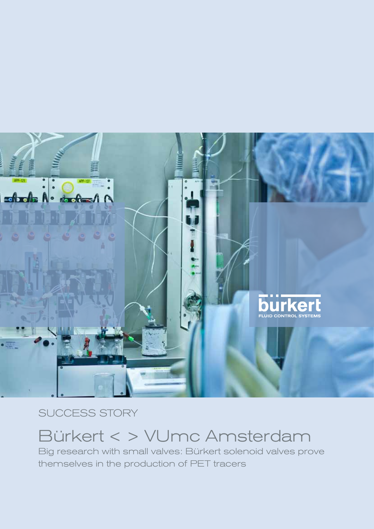

SUCCESS STORY

# Bürkert < > VUmc Amsterdam

Big research with small valves: Bürkert solenoid valves prove themselves in the production of PET tracers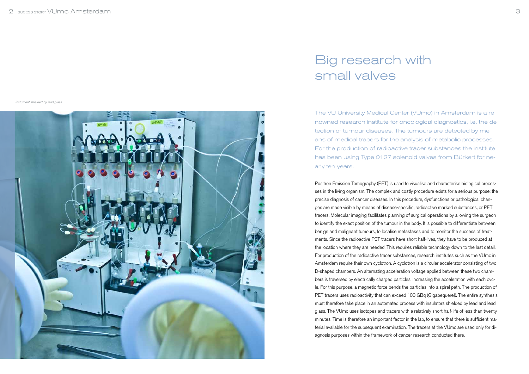The VU University Medical Center (VUmc) in Amsterdam is a renowned research institute for oncological diagnostics, i.e. the detection of tumour diseases. The tumours are detected by means of medical tracers for the analysis of metabolic processes. For the production of radioactive tracer substances the institute has been using Type 0127 solenoid valves from Bürkert for nearly ten years.

Positron Emission Tomography (PET) is used to visualise and characterise biological processes in the living organism. The complex and costly procedure exists for a serious purpose: the precise diagnosis of cancer diseases. In this procedure, dysfunctions or pathological changes are made visible by means of disease-specific, radioactive marked substances, or PET tracers. Molecular imaging facilitates planning of surgical operations by allowing the surgeon to identify the exact position of the tumour in the body. It is possible to differentiate between benign and malignant tumours, to localise metastases and to monitor the success of treatments. Since the radioactive PET tracers have short half-lives, they have to be produced at the location where they are needed. This requires reliable technology down to the last detail. For production of the radioactive tracer substances, research institutes such as the VUmc in Amsterdam require their own cyclotron. A cyclotron is a circular accelerator consisting of two D-shaped chambers. An alternating acceleration voltage applied between these two chambers is traversed by electrically charged particles, increasing the acceleration with each cycle. For this purpose, a magnetic force bends the particles into a spiral path. The production of PET tracers uses radioactivity that can exceed 100 GBq (Gigabequerel). The entire synthesis must therefore take place in an automated process with insulators shielded by lead and lead glass. The VUmc uses isotopes and tracers with a relatively short half-life of less than twenty minutes. Time is therefore an important factor in the lab, to ensure that there is sufficient material available for the subsequent examination. The tracers at the VUmc are used only for diagnosis purposes within the framework of cancer research conducted there.

# Big research with small valves

Instument shielded by lead glass

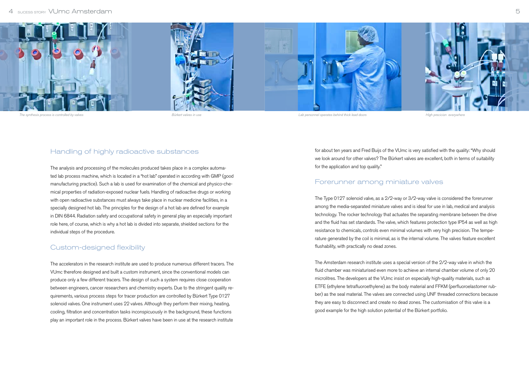for about ten years and Fred Buijs of the VUmc is very satisfied with the quality: "Why should we look around for other valves? The Bürkert valves are excellent, both in terms of suitability for the application and top quality."

# Forerunner among miniature valves

The Type 0127 solenoid valve, as a 2/2-way or 3/2-way valve is considered the forerunner among the media-separated miniature valves and is ideal for use in lab, medical and analysis technology. The rocker technology that actuates the separating membrane between the drive and the fluid has set standards. The valve, which features protection type IP54 as well as high resistance to chemicals, controls even minimal volumes with very high precision. The temperature generated by the coil is minimal, as is the internal volume. The valves feature excellent flushability, with practically no dead zones.

The Amsterdam research institute uses a special version of the 2/2-way valve in which the fluid chamber was miniaturised even more to achieve an internal chamber volume of only 20 microlitres. The developers at the VUmc insist on especially high-quality materials, such as ETFE (ethylene tetrafluoroethylene) as the body material and FFKM (perfluoroelastomer rubber) as the seal material. The valves are connected using UNF threaded connections because they are easy to disconnect and create no dead zones. The customisation of this valve is a good example for the high solution potential of the Bürkert portfolio.

# Handling of highly radioactive substances

The analysis and processing of the molecules produced takes place in a complex automated lab process machine, which is located in a "hot lab" operated in according with GMP (good manufacturing practice). Such a lab is used for examination of the chemical and physico-chemical properties of radiation-exposed nuclear fuels. Handling of radioactive drugs or working with open radioactive substances must always take place in nuclear medicine facilities, in a specially designed hot lab. The principles for the design of a hot lab are defined for example in DIN 6844. Radiation safety and occupational safety in general play an especially important role here, of course, which is why a hot lab is divided into separate, shielded sections for the individual steps of the procedure.

# Custom-designed flexibility

The accelerators in the research institute are used to produce numerous different tracers. The VUmc therefore designed and built a custom instrument, since the conventional models can produce only a few different tracers. The design of such a system requires close cooperation between engineers, cancer researchers and chemistry experts. Due to the stringent quality requirements, various process steps for tracer production are controlled by Bürkert Type 0127 solenoid valves. One instrument uses 22 valves. Although they perform their mixing, heating, cooling, filtration and concentration tasks inconspicuously in the background, these functions play an important role in the process. Bürkert valves have been in use at the research institute

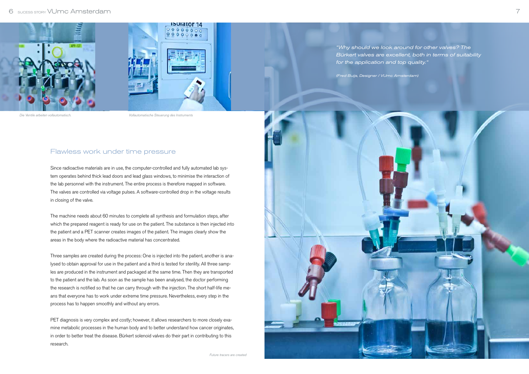#### 6 Sucess Story VUmc Amsterdam 7

# Flawless work under time pressure

Since radioactive materials are in use, the computer-controlled and fully automated lab system operates behind thick lead doors and lead glass windows, to minimise the interaction of the lab personnel with the instrument. The entire process is therefore mapped in software. The valves are controlled via voltage pulses. A software-controlled drop in the voltage results in closing of the valve.

The machine needs about 60 minutes to complete all synthesis and formulation steps, after which the prepared reagent is ready for use on the patient. The substance is then injected into the patient and a PET scanner creates images of the patient. The images clearly show the areas in the body where the radioactive material has concentrated.

PET diagnosis is very complex and costly; however, it allows researchers to more closely examine metabolic processes in the human body and to better understand how cancer originates, in order to better treat the disease. Bürkert solenoid valves do their part in contributing to this research.



Three samples are created during the process: One is injected into the patient, another is analysed to obtain approval for use in the patient and a third is tested for sterility. All three samples are produced in the instrument and packaged at the same time. Then they are transported to the patient and the lab. As soon as the sample has been analysed, the doctor performing the research is notified so that he can carry through with the injection. The short half-life means that everyone has to work under extreme time pressure. Nevertheless, every step in the process has to happen smoothly and without any errors.

"Why should we look around for other valves? The Bürkert valves are excellent, both in terms of suitability



Die Ventile arbeiten vollautomatisch. Vollautomatische Steuerung des Instruments

Future tracers are created